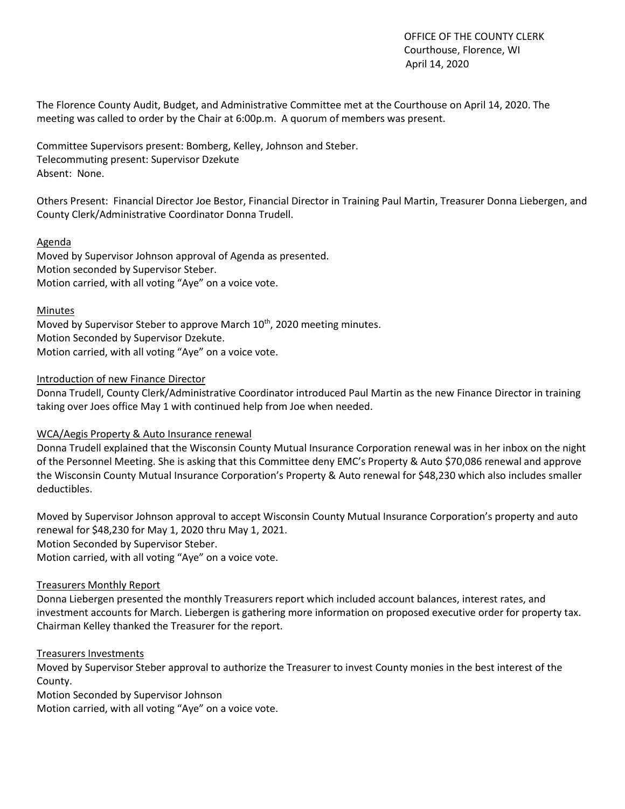OFFICE OF THE COUNTY CLERK Courthouse, Florence, WI April 14, 2020

The Florence County Audit, Budget, and Administrative Committee met at the Courthouse on April 14, 2020. The meeting was called to order by the Chair at 6:00p.m. A quorum of members was present.

Committee Supervisors present: Bomberg, Kelley, Johnson and Steber. Telecommuting present: Supervisor Dzekute Absent: None.

Others Present: Financial Director Joe Bestor, Financial Director in Training Paul Martin, Treasurer Donna Liebergen, and County Clerk/Administrative Coordinator Donna Trudell.

### Agenda

Moved by Supervisor Johnson approval of Agenda as presented. Motion seconded by Supervisor Steber. Motion carried, with all voting "Aye" on a voice vote.

### Minutes

Moved by Supervisor Steber to approve March 10<sup>th</sup>, 2020 meeting minutes. Motion Seconded by Supervisor Dzekute. Motion carried, with all voting "Aye" on a voice vote.

### Introduction of new Finance Director

Donna Trudell, County Clerk/Administrative Coordinator introduced Paul Martin as the new Finance Director in training taking over Joes office May 1 with continued help from Joe when needed.

## WCA/Aegis Property & Auto Insurance renewal

Donna Trudell explained that the Wisconsin County Mutual Insurance Corporation renewal was in her inbox on the night of the Personnel Meeting. She is asking that this Committee deny EMC's Property & Auto \$70,086 renewal and approve the Wisconsin County Mutual Insurance Corporation's Property & Auto renewal for \$48,230 which also includes smaller deductibles.

Moved by Supervisor Johnson approval to accept Wisconsin County Mutual Insurance Corporation's property and auto renewal for \$48,230 for May 1, 2020 thru May 1, 2021. Motion Seconded by Supervisor Steber.

Motion carried, with all voting "Aye" on a voice vote.

## Treasurers Monthly Report

Donna Liebergen presented the monthly Treasurers report which included account balances, interest rates, and investment accounts for March. Liebergen is gathering more information on proposed executive order for property tax. Chairman Kelley thanked the Treasurer for the report.

### Treasurers Investments

Moved by Supervisor Steber approval to authorize the Treasurer to invest County monies in the best interest of the County.

Motion Seconded by Supervisor Johnson

Motion carried, with all voting "Aye" on a voice vote.